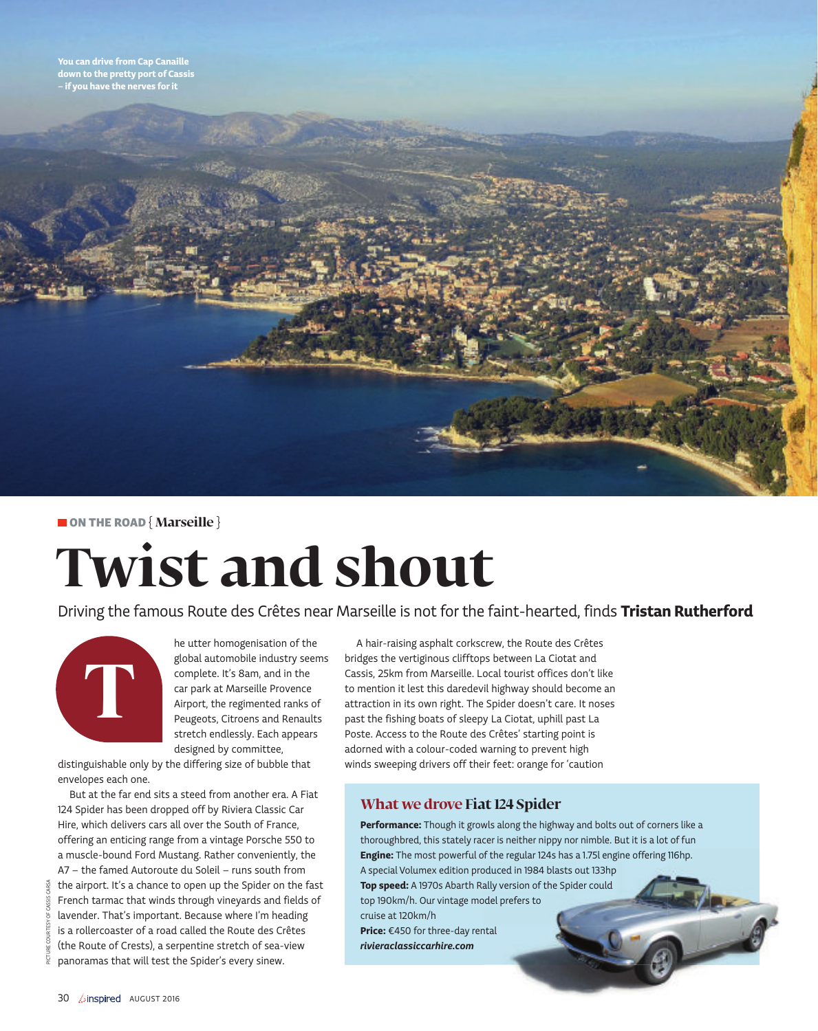down to the pretty port of Cassis – if you have the nerves for it

### ON THE ROAD **{ Marseille }**

# **Twist and shout**

Driving the famous Route des Crêtes near Marseille is not for the faint-hearted, finds Tristan Rutherford



he utter homogenisation of the global automobile industry seems complete. It's 8am, and in the car park at Marseille Provence Airport, the regimented ranks of Peugeots, Citroens and Renaults stretch endlessly. Each appears designed by committee,

distinguishable only by the differing size of bubble that envelopes each one.

But at the far end sits a steed from another era. A Fiat 124 Spider has been dropped off by Riviera Classic Car Hire, which delivers cars all over the South of France, offering an enticing range from a vintage Porsche 550 to a muscle-bound Ford Mustang. Rather conveniently, the A7 – the famed Autoroute du Soleil – runs south from the airport. It's a chance to open up the Spider on the fast French tarmac that winds through vineyards and fields of lavender. That's important. Because where I'm heading is a rollercoaster of a road called the Route des Crêtes (the Route of Crests), a serpentine stretch of sea-view panoramas that will test the Spider's every sinew. FOR THE ROAD (Marketine)<br> **EXECUTION CONTRACT CONTRACT CONTRACT CONTRACT CONTRACT CONTRACT CONTRACT CONTRACT CONTRACT CONTRACT CONTRACT CONTRACT CONTRACT CONTRACT CONTRACT CONTRACT CONTRACT CONTRACT CONTRACT CONTRACT CONT** 

A hair-raising asphalt corkscrew, the Route des Crêtes bridges the vertiginous clifftops between La Ciotat and Cassis, 25km from Marseille. Local tourist offices don't like to mention it lest this daredevil highway should become an attraction in its own right. The Spider doesn't care. It noses past the fishing boats of sleepy La Ciotat, uphill past La Poste. Access to the Route des Crêtes' starting point is adorned with a colour-coded warning to prevent high winds sweeping drivers off their feet: orange for 'caution

## **What we drove Fiat 124 Spider**

Performance: Though it growls along the highway and bolts out of corners like a thoroughbred, this stately racer is neither nippy nor nimble. But it is a lot of fun Engine: The most powerful of the regular 124s has a 1.75l engine offering 116hp. A special Volumex edition produced in 1984 blasts out 133hp Top speed: A 1970s Abarth Rally version of the Spider could top 190km/h. Our vintage model prefers to cruise at 120km/h Price: €450 for three-day rental rivieraclassiccarhire.com